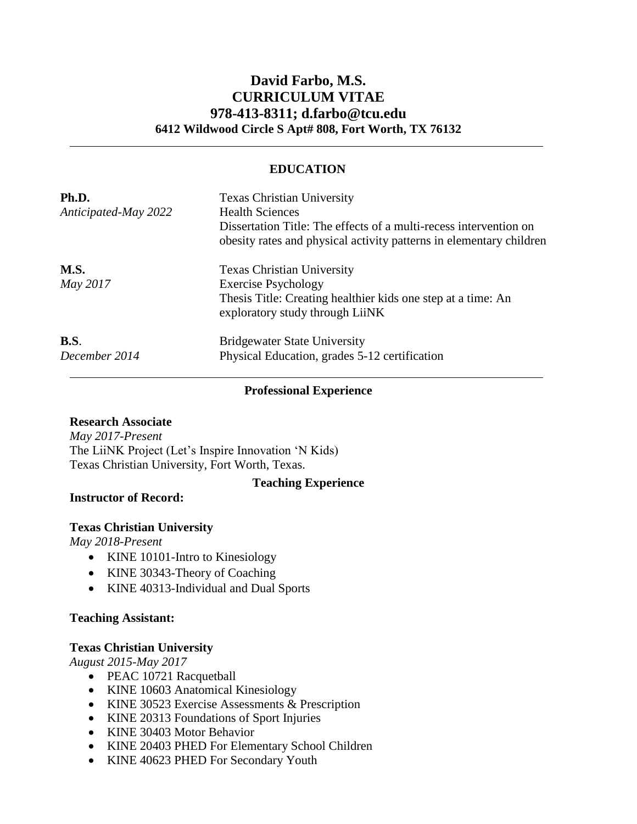# **David Farbo, M.S. CURRICULUM VITAE 978-413-8311; d.farbo@tcu.edu 6412 Wildwood Circle S Apt# 808, Fort Worth, TX 76132**

## **EDUCATION**

| Ph.D.<br>Anticipated-May 2022 | <b>Texas Christian University</b><br><b>Health Sciences</b><br>Dissertation Title: The effects of a multi-recess intervention on<br>obesity rates and physical activity patterns in elementary children |
|-------------------------------|---------------------------------------------------------------------------------------------------------------------------------------------------------------------------------------------------------|
| <b>M.S.</b><br>May 2017       | <b>Texas Christian University</b><br><b>Exercise Psychology</b><br>Thesis Title: Creating healthier kids one step at a time: An<br>exploratory study through LiiNK                                      |
| B.S.<br>December 2014         | <b>Bridgewater State University</b><br>Physical Education, grades 5-12 certification                                                                                                                    |

#### **Professional Experience**

**Teaching Experience**

#### **Research Associate**

*May 2017-Present* The LiiNK Project (Let's Inspire Innovation 'N Kids) Texas Christian University, Fort Worth, Texas.

**Instructor of Record:**

# **Texas Christian University**

*May 2018-Present*

- KINE 10101-Intro to Kinesiology
- KINE 30343-Theory of Coaching
- KINE 40313-Individual and Dual Sports

# **Teaching Assistant:**

# **Texas Christian University**

*August 2015-May 2017*

- PEAC 10721 Racquetball
- [KINE 10603 Anatomical Kinesiology](http://tcu.smartcatalogiq.com/current/Undergraduate-Catalog/Courses/KINE-Kinesiology/40000/KINE-40623)
- [KINE 30523 Exercise Assessments & Prescription](http://tcu.smartcatalogiq.com/current/Undergraduate-Catalog/Courses/KINE-Kinesiology/40000/KINE-40313)
- [KINE 20313 Foundations of Sport Injuries](http://tcu.smartcatalogiq.com/current/Undergraduate-Catalog/Courses/KINE-Kinesiology/20000/KINE-20403)
- [KINE 30403 Motor Behavior](http://tcu.smartcatalogiq.com/current/Undergraduate-Catalog/Courses/KINE-Kinesiology/30000/KINE-30343)
- [KINE 20403 PHED For Elementary School Children](http://tcu.smartcatalogiq.com/current/Undergraduate-Catalog/Courses/KINE-Kinesiology/30000/KINE-30343)
- [KINE 40623 PHED For Secondary Youth](http://tcu.smartcatalogiq.com/current/Undergraduate-Catalog/Courses/KINE-Kinesiology/30000/KINE-30343)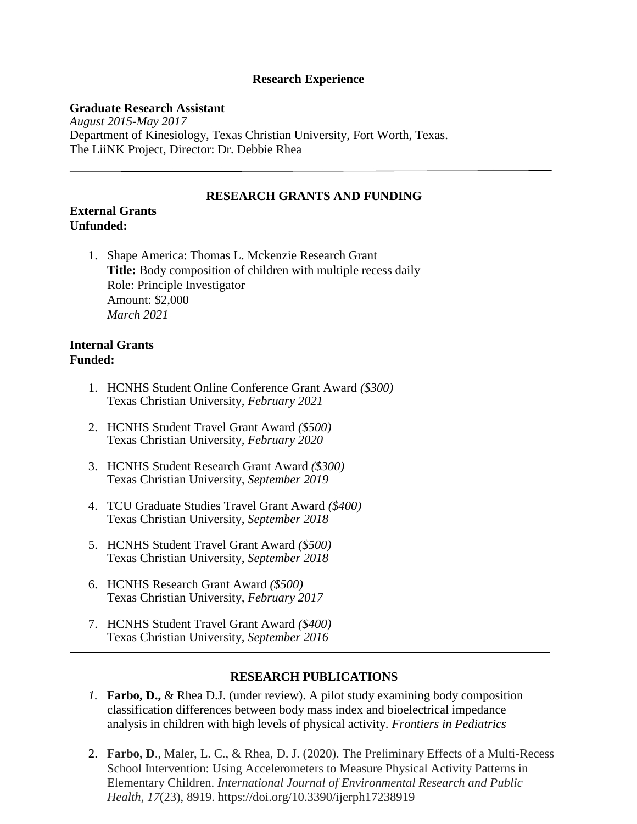### **Research Experience**

#### **Graduate Research Assistant**

*August 2015-May 2017* Department of Kinesiology, Texas Christian University, Fort Worth, Texas. The LiiNK Project, Director: Dr. Debbie Rhea

#### **RESEARCH GRANTS AND FUNDING**

#### **External Grants Unfunded:**

1. Shape America: Thomas L. Mckenzie Research Grant **Title:** Body composition of children with multiple recess daily Role: Principle Investigator Amount: \$2,000 *March 2021*

## **Internal Grants Funded:**

- 1. HCNHS Student Online Conference Grant Award *(\$300)* Texas Christian University*, February 2021*
- 2. HCNHS Student Travel Grant Award *(\$500)* Texas Christian University*, February 2020*
- 3. HCNHS Student Research Grant Award *(\$300)* Texas Christian University*, September 2019*
- 4. TCU Graduate Studies Travel Grant Award *(\$400)* Texas Christian University, *September 2018*
- 5. HCNHS Student Travel Grant Award *(\$500)* Texas Christian University, *September 2018*
- 6. HCNHS Research Grant Award *(\$500)* Texas Christian University*, February 2017*
- 7. HCNHS Student Travel Grant Award *(\$400)* Texas Christian University*, September 2016*

# **RESEARCH PUBLICATIONS**

- *1.* **Farbo, D.,** & Rhea D.J. (under review). A pilot study examining body composition classification differences between body mass index and bioelectrical impedance analysis in children with high levels of physical activity. *Frontiers in Pediatrics*
- 2. **Farbo, D**., Maler, L. C., & Rhea, D. J. (2020). The Preliminary Effects of a Multi-Recess School Intervention: Using Accelerometers to Measure Physical Activity Patterns in Elementary Children. *International Journal of Environmental Research and Public Health*, *17*(23), 8919. https://doi.org/10.3390/ijerph17238919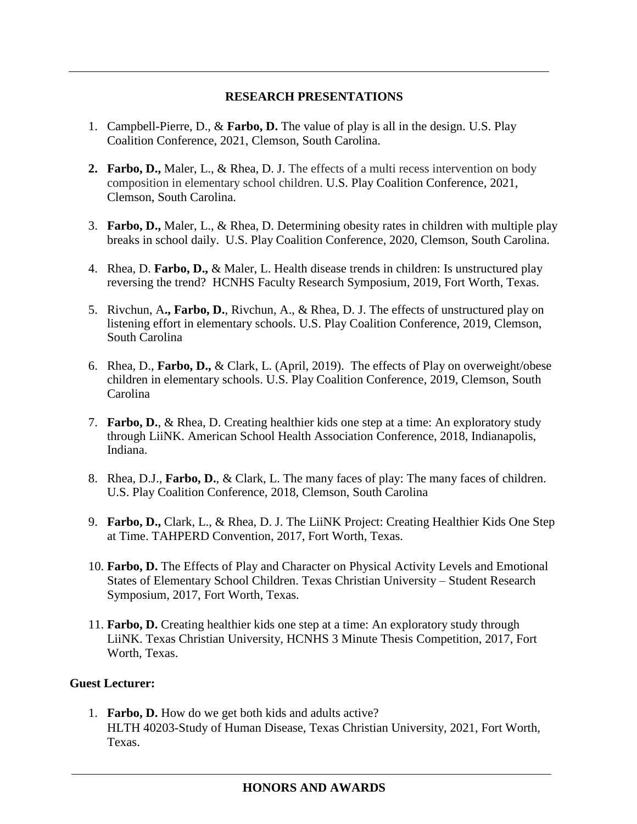# **RESEARCH PRESENTATIONS**

- 1. Campbell-Pierre, D., & **Farbo, D.** The value of play is all in the design. U.S. Play Coalition Conference, 2021, Clemson, South Carolina.
- **2. Farbo, D.,** Maler, L., & Rhea, D. J. The effects of a multi recess intervention on body composition in elementary school children. U.S. Play Coalition Conference, 2021, Clemson, South Carolina.
- 3. **Farbo, D.,** Maler, L., & Rhea, D. Determining obesity rates in children with multiple play breaks in school daily. U.S. Play Coalition Conference, 2020, Clemson, South Carolina.
- 4. Rhea, D. **Farbo, D.,** & Maler, L. Health disease trends in children: Is unstructured play reversing the trend? HCNHS Faculty Research Symposium, 2019, Fort Worth, Texas.
- 5. Rivchun, A**., Farbo, D.**, Rivchun, A., & Rhea, D. J. The effects of unstructured play on listening effort in elementary schools. U.S. Play Coalition Conference, 2019, Clemson, South Carolina
- 6. Rhea, D., **Farbo, D.,** & Clark, L. (April, 2019). The effects of Play on overweight/obese children in elementary schools. U.S. Play Coalition Conference, 2019, Clemson, South Carolina
- 7. **Farbo, D.**, & Rhea, D. Creating healthier kids one step at a time: An exploratory study through LiiNK. American School Health Association Conference, 2018, Indianapolis, Indiana.
- 8. Rhea, D.J., **Farbo, D.**, & Clark, L. The many faces of play: The many faces of children. U.S. Play Coalition Conference, 2018, Clemson, South Carolina
- 9. **Farbo, D.,** Clark, L., & Rhea, D. J. The LiiNK Project: Creating Healthier Kids One Step at Time. TAHPERD Convention, 2017, Fort Worth, Texas.
- 10. **Farbo, D.** The Effects of Play and Character on Physical Activity Levels and Emotional States of Elementary School Children. Texas Christian University – Student Research Symposium, 2017, Fort Worth, Texas.
- 11. **Farbo, D.** Creating healthier kids one step at a time: An exploratory study through LiiNK. Texas Christian University, HCNHS 3 Minute Thesis Competition, 2017, Fort Worth, Texas.

# **Guest Lecturer:**

1. **Farbo, D.** How do we get both kids and adults active? HLTH 40203-Study of Human Disease, Texas Christian University, 2021, Fort Worth, Texas.